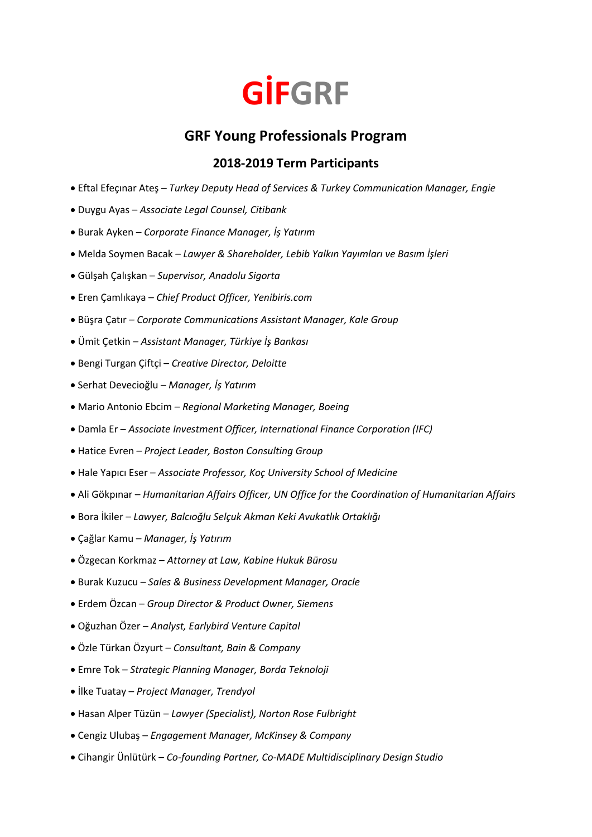

# **GRF Young Professionals Program**

## **2018-2019 Term Participants**

- Eftal Efeçınar Ateş *Turkey Deputy Head of Services & Turkey Communication Manager, Engie*
- Duygu Ayas *Associate Legal Counsel, Citibank*
- Burak Ayken *Corporate Finance Manager, İş Yatırım*
- Melda Soymen Bacak *Lawyer & Shareholder, Lebib Yalkın Yayımları ve Basım İşleri*
- Gülşah Çalışkan *Supervisor, Anadolu Sigorta*
- Eren Çamlıkaya *Chief Product Officer, Yenibiris.com*
- Büşra Çatır *– Corporate Communications Assistant Manager, Kale Group*
- Ümit Çetkin *Assistant Manager, Türkiye İş Bankası*
- Bengi Turgan Çiftçi *Creative Director, Deloitte*
- Serhat Devecioğlu *Manager, İş Yatırım*
- Mario Antonio Ebcim *Regional Marketing Manager, Boeing*
- Damla Er *Associate Investment Officer, International Finance Corporation (IFC)*
- Hatice Evren *Project Leader, Boston Consulting Group*
- Hale Yapıcı Eser *Associate Professor, Koç University School of Medicine*
- Ali Gökpınar *Humanitarian Affairs Officer, UN Office for the Coordination of Humanitarian Affairs*
- Bora İkiler *Lawyer, Balcıoğlu Selçuk Akman Keki Avukatlık Ortaklığı*
- Çağlar Kamu *Manager, İş Yatırım*
- Özgecan Korkmaz *Attorney at Law, Kabine Hukuk Bürosu*
- Burak Kuzucu *Sales & Business Development Manager, Oracle*
- Erdem Özcan *Group Director & Product Owner, Siemens*
- Oğuzhan Özer *Analyst, Earlybird Venture Capital*
- Özle Türkan Özyurt *Consultant, Bain & Company*
- Emre Tok *Strategic Planning Manager, Borda Teknoloji*
- İlke Tuatay *Project Manager, Trendyol*
- Hasan Alper Tüzün *Lawyer (Specialist), Norton Rose Fulbright*
- Cengiz Ulubaş *Engagement Manager, McKinsey & Company*
- Cihangir Ünlütürk *Co-founding Partner, Co-MADE Multidisciplinary Design Studio*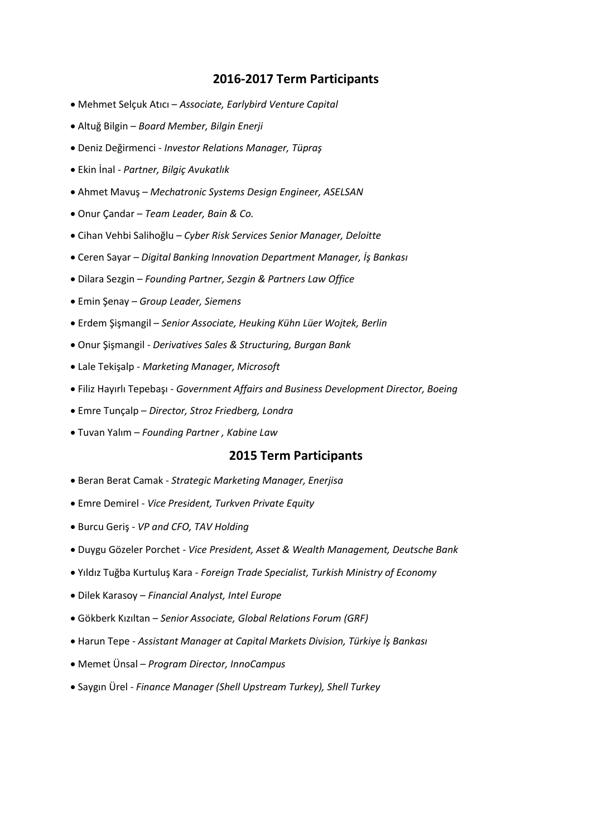#### **2016-2017 Term Participants**

- Mehmet Selçuk Atıcı *Associate, Earlybird Venture Capital*
- Altuğ Bilgin *Board Member, Bilgin Enerji*
- Deniz Değirmenci *Investor Relations Manager, Tüpraş*
- Ekin İnal *Partner, Bilgiç Avukatlık*
- Ahmet Mavuş *Mechatronic Systems Design Engineer, ASELSAN*
- Onur Çandar *Team Leader, Bain & Co.*
- Cihan Vehbi Salihoğlu *Cyber Risk Services Senior Manager, Deloitte*
- Ceren Sayar *Digital Banking Innovation Department Manager, İş Bankası*
- Dilara Sezgin *Founding Partner, Sezgin & Partners Law Office*
- Emin Şenay *Group Leader, Siemens*
- Erdem Şişmangil *Senior Associate, Heuking Kühn Lüer Wojtek, Berlin*
- Onur Şişmangil *Derivatives Sales & Structuring, Burgan Bank*
- Lale Tekişalp *Marketing Manager, Microsoft*
- Filiz Hayırlı Tepebaşı *Government Affairs and Business Development Director, Boeing*
- Emre Tunçalp *Director, Stroz Friedberg, Londra*
- Tuvan Yalım *Founding Partner , Kabine Law*

#### **2015 Term Participants**

- Beran Berat Camak *Strategic Marketing Manager, Enerjisa*
- Emre Demirel *Vice President, Turkven Private Equity*
- Burcu Geriş *VP and CFO, TAV Holding*
- Duygu Gözeler Porchet *Vice President, Asset & Wealth Management, Deutsche Bank*
- Yıldız Tuğba Kurtuluş Kara *Foreign Trade Specialist, Turkish Ministry of Economy*
- Dilek Karasoy *Financial Analyst, Intel Europe*
- Gökberk Kızıltan *Senior Associate, Global Relations Forum (GRF)*
- Harun Tepe *Assistant Manager at Capital Markets Division, Türkiye İş Bankası*
- Memet Ünsal *Program Director, InnoCampus*
- Saygın Ürel *Finance Manager (Shell Upstream Turkey), Shell Turkey*